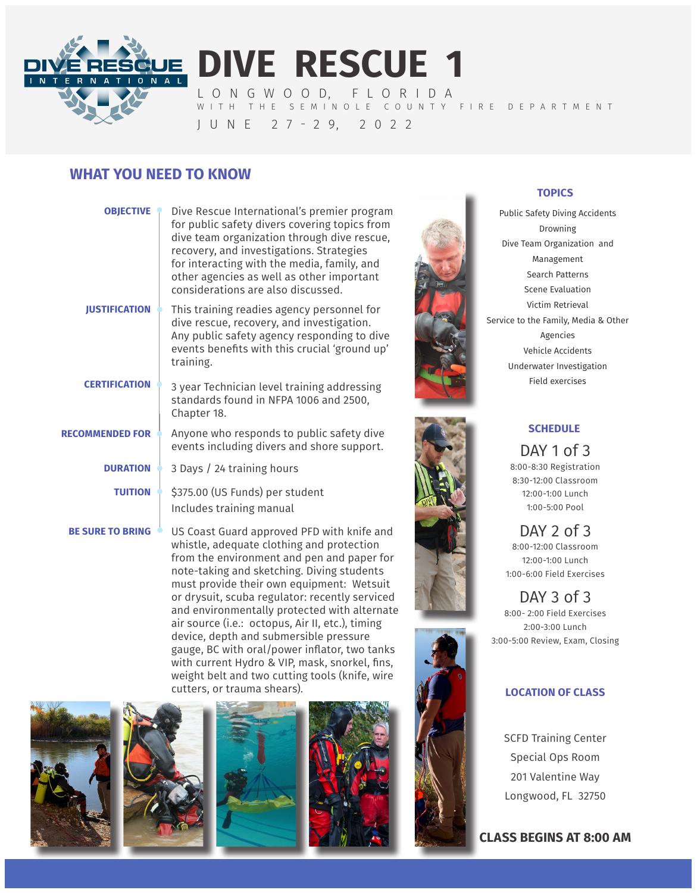

**DIVE RESCUE 1** L O N G W O O D, F L O R I D A WITH THE SEMINOLE COUNTY FIRE DEPARTMENT

J U N E 2 7 - 2 9, 2 0 2 2

## **WHAT YOU NEED TO KNOW**

| <b>OBJECTIVE</b>        | Dive Rescue International's premier program<br>for public safety divers covering topics from<br>dive team organization through dive rescue,<br>recovery, and investigations. Strategies<br>for interacting with the media, family, and<br>other agencies as well as other important<br>considerations are also discussed. |
|-------------------------|---------------------------------------------------------------------------------------------------------------------------------------------------------------------------------------------------------------------------------------------------------------------------------------------------------------------------|
| <b>IUSTIFICATION</b>    | This training readies agency personnel for<br>dive rescue, recovery, and investigation.<br>Any public safety agency responding to dive<br>events benefits with this crucial 'ground up'<br>training.                                                                                                                      |
| <b>CERTIFICATION</b>    | 3 year Technician level training addressing<br>standards found in NFPA 1006 and 2500,<br>Chapter 18.                                                                                                                                                                                                                      |
| <b>RECOMMENDED FOR</b>  | Anyone who responds to public safety dive<br>events including divers and shore support.                                                                                                                                                                                                                                   |
| <b>DURATION</b>         | 3 Days / 24 training hours                                                                                                                                                                                                                                                                                                |
| <b>TUITION</b>          | \$375.00 (US Funds) per student<br>Includes training manual                                                                                                                                                                                                                                                               |
| <b>BE SURE TO BRING</b> | US Coast Guard approved PFD with knife and<br>whictle adequate clething and protection                                                                                                                                                                                                                                    |

whistle, adequate clothing and protection from the environment and pen and paper for note-taking and sketching. Diving students must provide their own equipment: Wetsuit or drysuit, scuba regulator: recently serviced and environmentally protected with alternate air source (i.e.: octopus, Air II, etc.), timing device, depth and submersible pressure gauge, BC with oral/power inflator, two tanks with current Hydro & VIP, mask, snorkel, fins, weight belt and two cutting tools (knife, wire cutters, or trauma shears).











#### **TOPICS**

Public Safety Diving Accidents Drowning Dive Team Organization and Management Search Patterns Scene Evaluation Victim Retrieval Service to the Family, Media & Other Agencies Vehicle Accidents Underwater Investigation Field exercises



## **SCHEDULE**

DAY 1 of 3 8:00-8:30 Registration 8:30-12:00 Classroom 12:00-1:00 Lunch 1:00-5:00 Pool

DAY 2 of 3 8:00-12:00 Classroom 12:00-1:00 Lunch 1:00-6:00 Field Exercises

DAY 3 of 3 8:00- 2:00 Field Exercises 2:00-3:00 Lunch 3:00-5:00 Review, Exam, Closing

#### **LOCATION OF CLASS**

SCFD Training Center Special Ops Room 201 Valentine Way Longwood, FL 32750